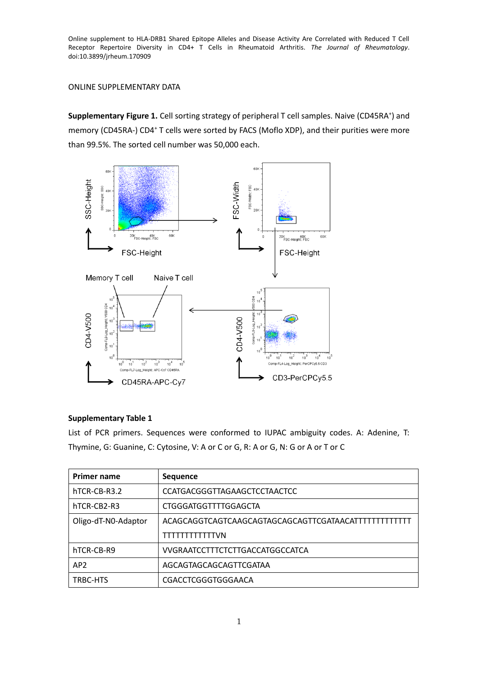## ONLINE SUPPLEMENTARY DATA

Supplementary Figure 1. Cell sorting strategy of peripheral T cell samples. Naive (CD45RA<sup>+</sup>) and memory (CD45RA-) CD4<sup>+</sup> T cells were sorted by FACS (Moflo XDP), and their purities were more than 99.5%. The sorted cell number was 50,000 each.



## **Supplementary Table 1**

List of PCR primers. Sequences were conformed to IUPAC ambiguity codes. A: Adenine, T: Thymine, G: Guanine, C: Cytosine, V: A or C or G, R: A or G, N: G or A or T or C

| <b>Primer name</b>  | <b>Sequence</b>                     |
|---------------------|-------------------------------------|
| hTCR-CB-R3.2        | <b>CCATGACGGGTTAGAAGCTCCTAACTCC</b> |
| hTCR-CB2-R3         | CTGGGATGGTTTTGGAGCTA                |
| Oligo-dT-N0-Adaptor |                                     |
|                     | TTTTTTTTTTTVN                       |
| hTCR-CB-R9          | VVGRAATCCTTTCTCTTGACCATGGCCATCA     |
| AP <sub>2</sub>     | AGCAGTAGCAGCAGTTCGATAA              |
| TRBC-HTS            | CGACCTCGGGTGGGAACA                  |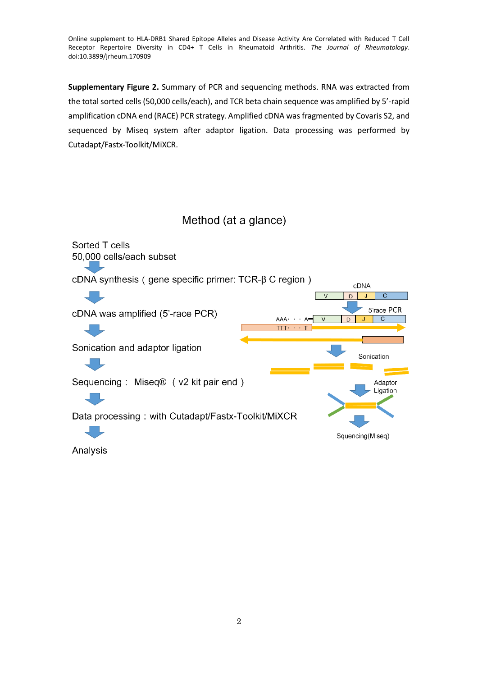**Supplementary Figure 2.** Summary of PCR and sequencing methods. RNA was extracted from the total sorted cells (50,000 cells/each), and TCR beta chain sequence was amplified by 5'-rapid amplification cDNA end (RACE) PCR strategy. Amplified cDNA was fragmented by Covaris S2, and sequenced by Miseq system after adaptor ligation. Data processing was performed by Cutadapt/Fastx-Toolkit/MiXCR.

Method (at a glance)



Analysis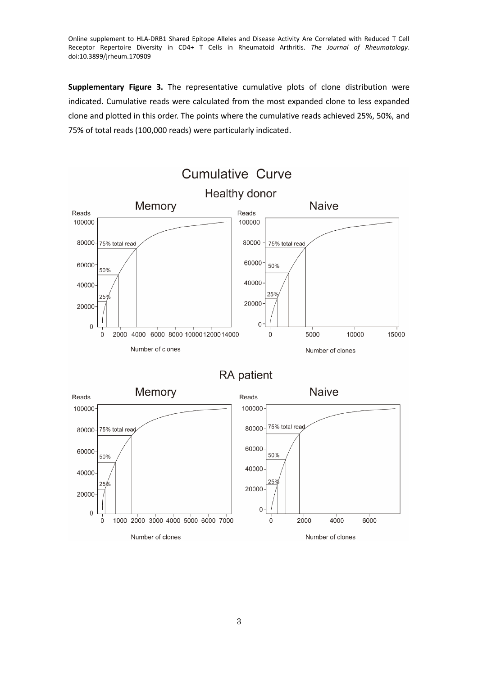**Supplementary Figure 3.** The representative cumulative plots of clone distribution were indicated. Cumulative reads were calculated from the most expanded clone to less expanded clone and plotted in this order. The points where the cumulative reads achieved 25%, 50%, and 75% of total reads (100,000 reads) were particularly indicated.

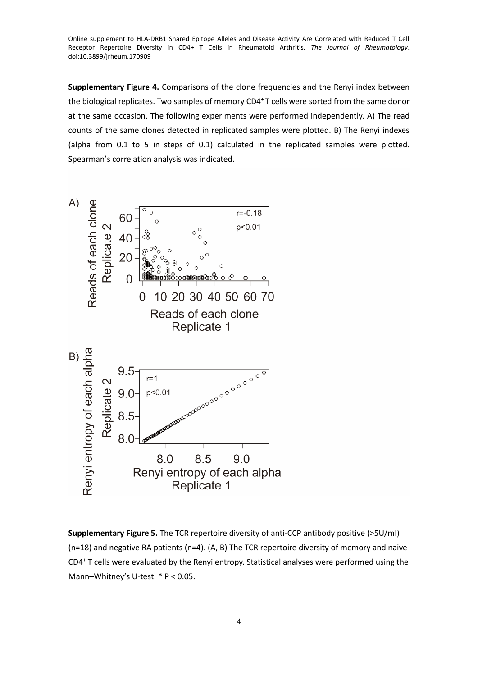**Supplementary Figure 4.** Comparisons of the clone frequencies and the Renyi index between the biological replicates. Two samples of memory CD4<sup>+</sup>T cells were sorted from the same donor at the same occasion. The following experiments were performed independently. A) The read counts of the same clones detected in replicated samples were plotted. B) The Renyi indexes (alpha from 0.1 to 5 in steps of 0.1) calculated in the replicated samples were plotted. Spearman's correlation analysis was indicated.



**Supplementary Figure 5.** The TCR repertoire diversity of anti-CCP antibody positive (>5U/ml) (n=18) and negative RA patients (n=4). (A, B) The TCR repertoire diversity of memory and naive CD4<sup>+</sup> T cells were evaluated by the Renyi entropy. Statistical analyses were performed using the Mann–Whitney's U-test. \* P < 0.05.